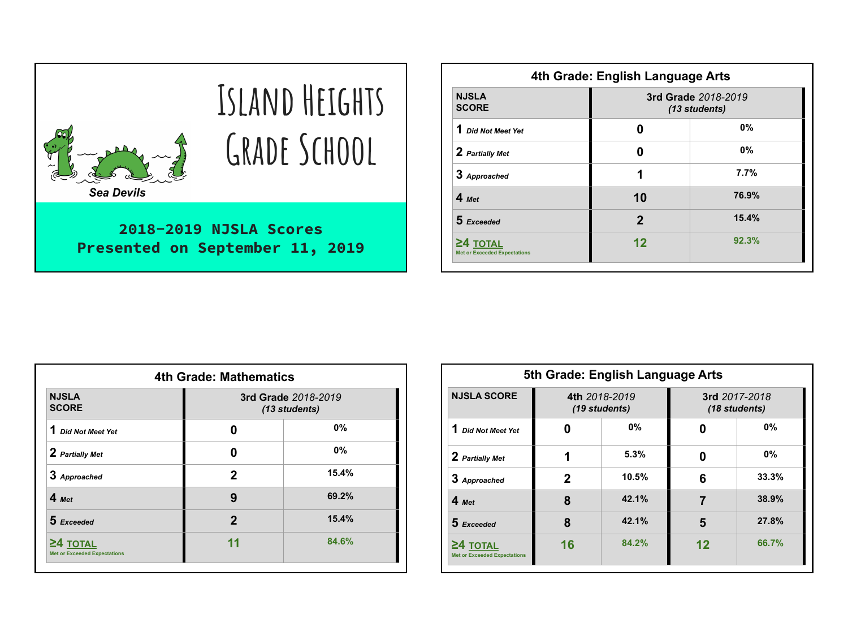| <b>Sea Devils</b>                                            | ISLAND HEIGHTS<br><b>GRADE SCHOOL</b> |  |  |
|--------------------------------------------------------------|---------------------------------------|--|--|
| 2018-2019 NJSLA Scores<br>Presented on September 11,<br>2019 |                                       |  |  |

| 4th Grade: English Language Arts                  |                                      |           |  |  |
|---------------------------------------------------|--------------------------------------|-----------|--|--|
| <b>NJSLA</b><br><b>SCORE</b>                      | 3rd Grade 2018-2019<br>(13 students) |           |  |  |
| Did Not Meet Yet                                  | n                                    | <b>0%</b> |  |  |
| 2 Partially Met                                   | Λ                                    | 0%        |  |  |
| 3 Approached                                      | 1                                    | 7.7%      |  |  |
| $4$ Met                                           | 10                                   | 76.9%     |  |  |
| $5$ Exceeded                                      | $\mathfrak{p}$                       | 15.4%     |  |  |
| $24$ TOTAL<br><b>Met or Exceeded Expectations</b> | 12                                   | 92.3%     |  |  |

| 4th Grade: Mathematics                            |                                      |       |  |  |
|---------------------------------------------------|--------------------------------------|-------|--|--|
| <b>NJSLA</b><br><b>SCORE</b>                      | 3rd Grade 2018-2019<br>(13 students) |       |  |  |
| 1 Did Not Meet Yet                                | U                                    | 0%    |  |  |
| 2 Partially Met                                   | U                                    | 0%    |  |  |
| 3 Approached                                      | 2                                    | 15.4% |  |  |
| $4$ Met                                           | 9                                    | 69.2% |  |  |
| 5 Exceeded                                        | 2                                    | 15.4% |  |  |
| $24$ TOTAL<br><b>Met or Exceeded Expectations</b> | 11                                   | 84.6% |  |  |

| 5th Grade: English Language Arts                  |            |                                |    |                                |  |  |
|---------------------------------------------------|------------|--------------------------------|----|--------------------------------|--|--|
| <b>NJSLA SCORE</b>                                |            | 4th 2018-2019<br>(19 students) |    | 3rd 2017-2018<br>(18 students) |  |  |
| 1 Did Not Meet Yet                                | Ω          | <b>0%</b>                      | 0  | $0\%$                          |  |  |
| 2 Partially Met                                   | 1          | 5.3%                           | 0  | $0\%$                          |  |  |
| 3 Approached                                      | 10.5%<br>2 |                                | 6  | 33.3%                          |  |  |
| $4$ Met                                           | 8          | 42.1%                          | 7  | 38.9%                          |  |  |
| $5$ Exceeded                                      | 8          | 42.1%                          | 5  | 27.8%                          |  |  |
| $24$ TOTAL<br><b>Met or Exceeded Expectations</b> | 16         | 84.2%                          | 12 | 66.7%                          |  |  |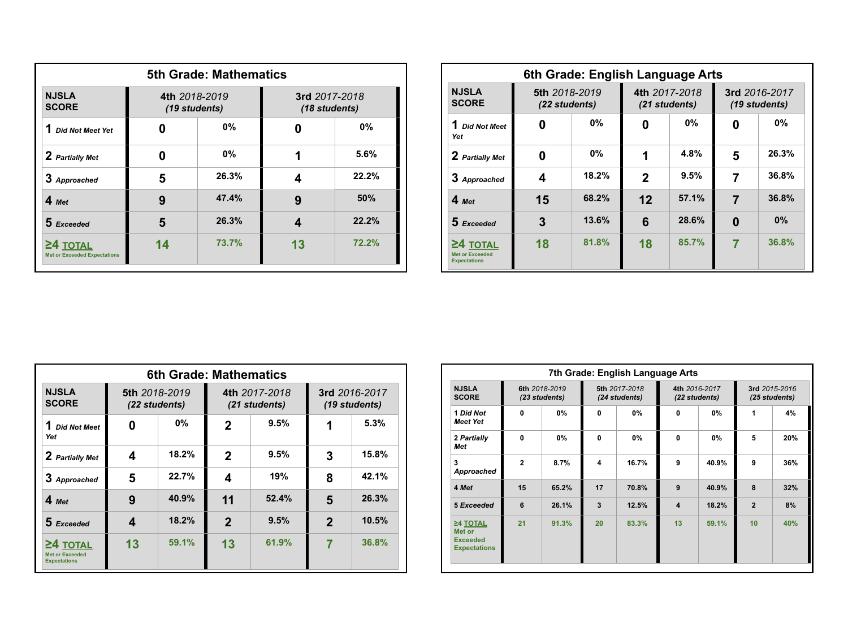| <b>5th Grade: Mathematics</b>                   |                                |       |                                |       |  |  |
|-------------------------------------------------|--------------------------------|-------|--------------------------------|-------|--|--|
| <b>NJSLA</b><br><b>SCORE</b>                    | 4th 2018-2019<br>(19 students) |       | 3rd 2017-2018<br>(18 students) |       |  |  |
| 1<br><b>Did Not Meet Yet</b>                    |                                | $0\%$ |                                | $0\%$ |  |  |
| 2 Partially Met                                 |                                | $0\%$ | 1                              | 5.6%  |  |  |
| 3 Approached                                    | 26.3%<br>5                     |       | Δ                              | 22.2% |  |  |
| $4$ Met                                         | 9                              | 47.4% | 9                              | 50%   |  |  |
| 5 Exceeded                                      | 5                              | 26.3% | 4                              | 22.2% |  |  |
| 24 TOTAL<br><b>Met or Exceeded Expectations</b> | 14                             | 73.7% | 13                             | 72.2% |  |  |

|                                                      | 6th Grade: English Language Arts |           |                                |       |                                |           |  |
|------------------------------------------------------|----------------------------------|-----------|--------------------------------|-------|--------------------------------|-----------|--|
| <b>NJSLA</b><br><b>SCORE</b>                         | 5th 2018-2019<br>(22 students)   |           | 4th 2017-2018<br>(21 students) |       | 3rd 2016-2017<br>(19 students) |           |  |
| 1 Did Not Meet<br>Yet                                | 0                                | <b>0%</b> | O                              | 0%    |                                | <b>0%</b> |  |
| 2 Partially Met                                      | 0                                | <b>0%</b> | 1                              | 4.8%  | 5                              | 26.3%     |  |
| 3 Approached                                         | 4                                | 18.2%     | $\mathbf 2$                    | 9.5%  |                                | 36.8%     |  |
| $4$ Met                                              | 15                               | 68.2%     | 12                             | 57.1% |                                | 36.8%     |  |
| $5$ Fxceeded                                         | 3                                | 13.6%     | 6                              | 28.6% | Ω                              | 0%        |  |
| $24$ total<br>Met or Exceeded<br><b>Expectations</b> | 18                               | 81.8%     | 18                             | 85.7% |                                | 36.8%     |  |

| 6th Grade: Mathematics                                      |                                |       |                |                                |                                |       |  |
|-------------------------------------------------------------|--------------------------------|-------|----------------|--------------------------------|--------------------------------|-------|--|
| <b>NJSLA</b><br><b>SCORE</b>                                | 5th 2018-2019<br>(22 students) |       |                | 4th 2017-2018<br>(21 students) | 3rd 2016-2017<br>(19 students) |       |  |
| 1<br><b>Did Not Meet</b><br>Yet                             | Ω                              | 0%    | 2              | 9.5%                           |                                | 5.3%  |  |
| 2 Partially Met                                             | 4                              | 18.2% | 2              | 9.5%                           | 3                              | 15.8% |  |
| 3 Approached                                                | 5                              | 22.7% | 4              | 19%                            | 8                              | 42.1% |  |
| $4$ Met                                                     | 9                              | 40.9% | 11             | 52.4%                          | 5                              | 26.3% |  |
| 5 Exceeded                                                  | 4                              | 18.2% | $\overline{2}$ | 9.5%                           | $\mathbf{2}$                   | 10.5% |  |
| $24$ TOTAL<br><b>Met or Exceeded</b><br><b>Expectations</b> | 13                             | 59.1% | 13             | 61.9%                          |                                | 36.8% |  |

| 7th Grade: English Language Arts                             |                |                                |              |                                |                         |                                |                |                                |
|--------------------------------------------------------------|----------------|--------------------------------|--------------|--------------------------------|-------------------------|--------------------------------|----------------|--------------------------------|
| <b>NJSLA</b><br><b>SCORE</b>                                 |                | 6th 2018-2019<br>(23 students) |              | 5th 2017-2018<br>(24 students) |                         | 4th 2016-2017<br>(22 students) |                | 3rd 2015-2016<br>(25 students) |
| 1 Did Not<br><b>Meet Yet</b>                                 | O              | $0\%$                          | $\mathbf{0}$ | 0%                             | $\mathbf{0}$            | 0%                             | 1              | 4%                             |
| 2 Partially<br>Met                                           | O              | 0%                             | $\Omega$     | 0%                             | $\Omega$                | 0%                             | 5              | 20%                            |
| 3<br>Approached                                              | $\overline{2}$ | 8.7%                           | 4            | 16.7%                          | 9                       | 40.9%                          | 9              | 36%                            |
| 4 Met                                                        | 15             | 65.2%                          | 17           | 70.8%                          | 9                       | 40.9%                          | 8              | 32%                            |
| 5 Exceeded                                                   | 6              | 26.1%                          | 3            | 12.5%                          | $\overline{\mathbf{A}}$ | 18.2%                          | $\overline{2}$ | 8%                             |
| ≥4 TOTAL<br>Met or<br><b>Exceeded</b><br><b>Expectations</b> | 21             | 91.3%                          | 20           | 83.3%                          | 13                      | 59.1%                          | 10             | 40%                            |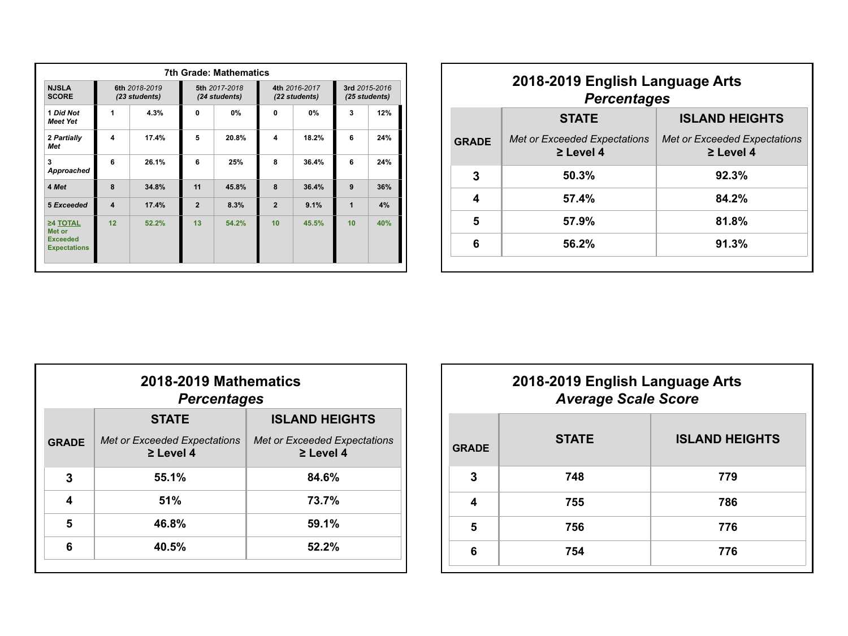| <b>7th Grade: Mathematics</b>                                |                         |                                |                |                                |                |                                |              |                                |
|--------------------------------------------------------------|-------------------------|--------------------------------|----------------|--------------------------------|----------------|--------------------------------|--------------|--------------------------------|
| <b>NJSLA</b><br><b>SCORE</b>                                 |                         | 6th 2018-2019<br>(23 students) |                | 5th 2017-2018<br>(24 students) |                | 4th 2016-2017<br>(22 students) |              | 3rd 2015-2016<br>(25 students) |
| 1 Did Not<br><b>Meet Yet</b>                                 | 1                       | 4.3%                           | $\mathbf{0}$   | 0%                             | 0              | 0%                             | $\mathbf{3}$ | 12%                            |
| 2 Partially<br>Met                                           | 4                       | 17.4%                          | 5              | 20.8%                          | 4              | 18.2%                          | 6            | 24%                            |
| 3<br>Approached                                              | 6                       | 26.1%                          | 6              | 25%                            | 8              | 36.4%                          | 6            | 24%                            |
| 4 Met                                                        | 8                       | 34.8%                          | 11             | 45.8%                          | 8              | 36.4%                          | 9            | 36%                            |
| 5 Exceeded                                                   | $\overline{\mathbf{A}}$ | 17.4%                          | $\overline{2}$ | 8.3%                           | $\overline{2}$ | 9.1%                           | 1            | 4%                             |
| ≥4 TOTAL<br>Met or<br><b>Exceeded</b><br><b>Expectations</b> | 12                      | 52.2%                          | 13             | 54.2%                          | 10             | 45.5%                          | 10           | 40%                            |

| 2018-2019 English Language Arts<br><b>Percentages</b> |                                                |                                                       |  |  |  |  |
|-------------------------------------------------------|------------------------------------------------|-------------------------------------------------------|--|--|--|--|
|                                                       | <b>ISLAND HEIGHTS</b><br><b>STATE</b>          |                                                       |  |  |  |  |
| <b>GRADE</b>                                          | Met or Exceeded Expectations<br>$\geq$ Level 4 | <b>Met or Exceeded Expectations</b><br>$\geq$ Level 4 |  |  |  |  |
| 3                                                     | 50.3%                                          | 92.3%                                                 |  |  |  |  |
| 4                                                     | 57.4%                                          | 84.2%                                                 |  |  |  |  |
| 5                                                     | 57.9%                                          | 81.8%                                                 |  |  |  |  |
| 6                                                     | 56.2%                                          | 91.3%                                                 |  |  |  |  |
|                                                       |                                                |                                                       |  |  |  |  |

|              | 2018-2019 Mathematics<br><b>Percentages</b>    |                                                       |  |  |  |  |
|--------------|------------------------------------------------|-------------------------------------------------------|--|--|--|--|
|              | <b>ISLAND HEIGHTS</b><br><b>STATE</b>          |                                                       |  |  |  |  |
| <b>GRADE</b> | Met or Exceeded Expectations<br>$\geq$ Level 4 | <b>Met or Exceeded Expectations</b><br>$\geq$ Level 4 |  |  |  |  |
| 3            | 55.1%                                          | 84.6%                                                 |  |  |  |  |
| 4            | 51%                                            | 73.7%                                                 |  |  |  |  |
| 5            | 46.8%                                          | 59.1%                                                 |  |  |  |  |
| 6            | 40.5%                                          | 52.2%                                                 |  |  |  |  |
|              |                                                |                                                       |  |  |  |  |

| 2018-2019 English Language Arts<br><b>Average Scale Score</b> |                       |  |  |  |  |
|---------------------------------------------------------------|-----------------------|--|--|--|--|
| <b>STATE</b>                                                  | <b>ISLAND HEIGHTS</b> |  |  |  |  |
| 748                                                           | 779                   |  |  |  |  |
| 755                                                           | 786                   |  |  |  |  |
| 756                                                           | 776                   |  |  |  |  |
| 754                                                           | 776                   |  |  |  |  |
|                                                               |                       |  |  |  |  |